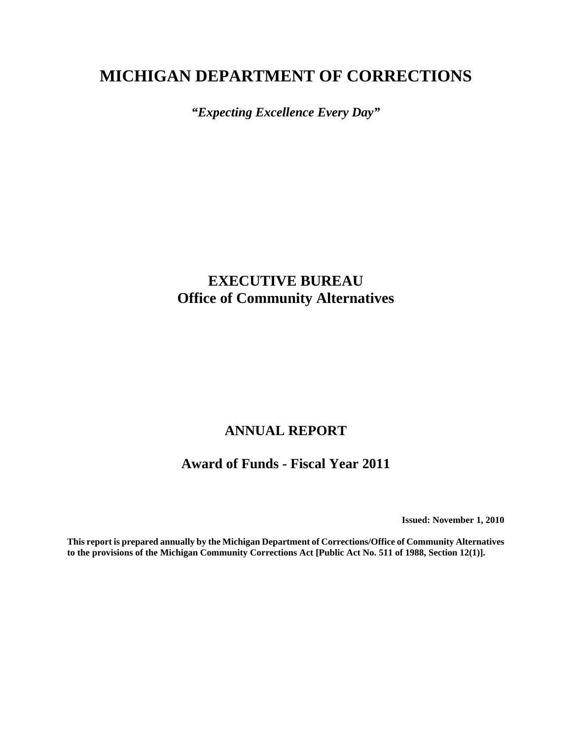# **MICHIGAN DEPARTMENT OF CORRECTIONS**

*"Expecting Excellence Every Day"*

# **EXECUTIVE BUREAU Office of Community Alternatives**

# **ANNUAL REPORT**

# **Award of Funds - Fiscal Year 2011**

**Issued: November 1, 2010**

**This report is prepared annually by the Michigan Department of Corrections/Office of Community Alternatives to the provisions of the Michigan Community Corrections Act [Public Act No. 511 of 1988, Section 12(1)].**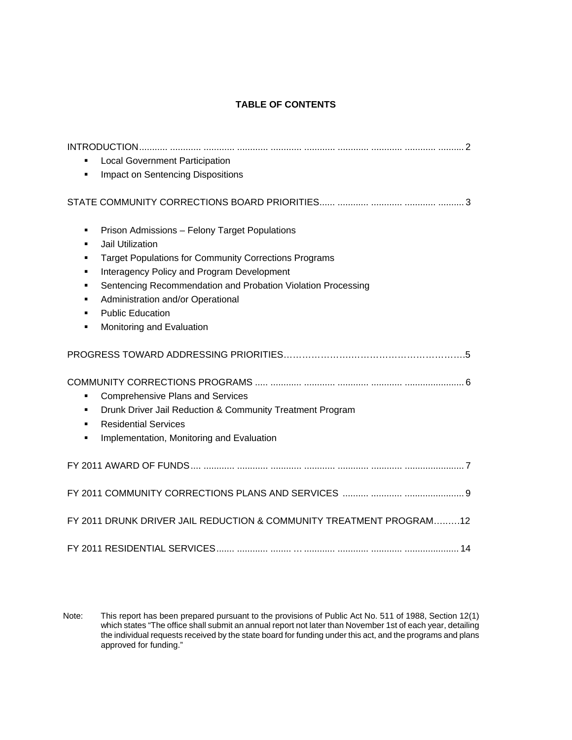### **TABLE OF CONTENTS**

| <b>Local Government Participation</b><br>Impact on Sentencing Dispositions                                                                                                                                                                                                                                                                                                      |
|---------------------------------------------------------------------------------------------------------------------------------------------------------------------------------------------------------------------------------------------------------------------------------------------------------------------------------------------------------------------------------|
|                                                                                                                                                                                                                                                                                                                                                                                 |
| Prison Admissions - Felony Target Populations<br>٠<br>Jail Utilization<br>٠<br><b>Target Populations for Community Corrections Programs</b><br>٠<br>Interagency Policy and Program Development<br>٠<br>Sentencing Recommendation and Probation Violation Processing<br>٠<br>Administration and/or Operational<br>п<br><b>Public Education</b><br>Monitoring and Evaluation<br>٠ |
|                                                                                                                                                                                                                                                                                                                                                                                 |
| <b>Comprehensive Plans and Services</b><br>٠<br>Drunk Driver Jail Reduction & Community Treatment Program<br><b>Residential Services</b><br>٠<br>Implementation, Monitoring and Evaluation<br>٠                                                                                                                                                                                 |
|                                                                                                                                                                                                                                                                                                                                                                                 |
|                                                                                                                                                                                                                                                                                                                                                                                 |
| FY 2011 DRUNK DRIVER JAIL REDUCTION & COMMUNITY TREATMENT PROGRAM12                                                                                                                                                                                                                                                                                                             |
|                                                                                                                                                                                                                                                                                                                                                                                 |

Note: This report has been prepared pursuant to the provisions of Public Act No. 511 of 1988, Section 12(1) which states "The office shall submit an annual report not later than November 1st of each year, detailing the individual requests received by the state board for funding under this act, and the programs and plans approved for funding."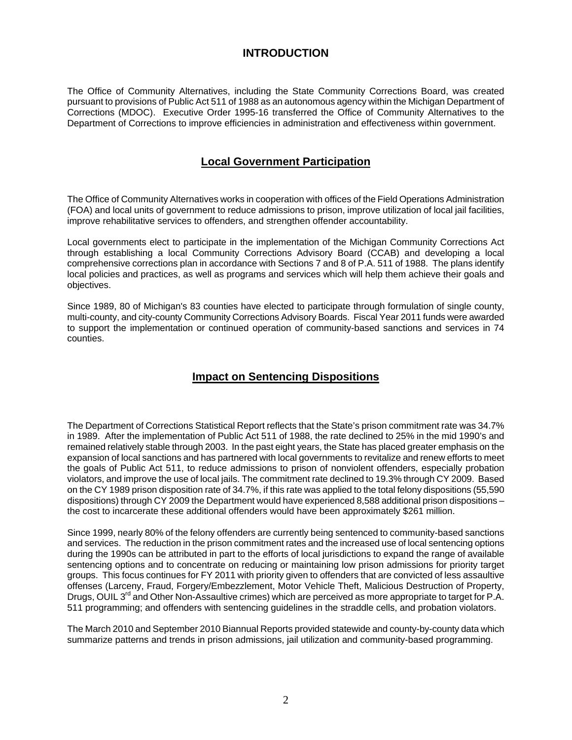# **INTRODUCTION**

The Office of Community Alternatives, including the State Community Corrections Board, was created pursuant to provisions of Public Act 511 of 1988 as an autonomous agency within the Michigan Department of Corrections (MDOC). Executive Order 1995-16 transferred the Office of Community Alternatives to the Department of Corrections to improve efficiencies in administration and effectiveness within government.

# **Local Government Participation**

The Office of Community Alternatives works in cooperation with offices of the Field Operations Administration (FOA) and local units of government to reduce admissions to prison, improve utilization of local jail facilities, improve rehabilitative services to offenders, and strengthen offender accountability.

Local governments elect to participate in the implementation of the Michigan Community Corrections Act through establishing a local Community Corrections Advisory Board (CCAB) and developing a local comprehensive corrections plan in accordance with Sections 7 and 8 of P.A. 511 of 1988. The plans identify local policies and practices, as well as programs and services which will help them achieve their goals and objectives.

Since 1989, 80 of Michigan's 83 counties have elected to participate through formulation of single county, multi-county, and city-county Community Corrections Advisory Boards. Fiscal Year 2011 funds were awarded to support the implementation or continued operation of community-based sanctions and services in 74 counties.

# **Impact on Sentencing Dispositions**

The Department of Corrections Statistical Report reflects that the State's prison commitment rate was 34.7% in 1989. After the implementation of Public Act 511 of 1988, the rate declined to 25% in the mid 1990's and remained relatively stable through 2003. In the past eight years, the State has placed greater emphasis on the expansion of local sanctions and has partnered with local governments to revitalize and renew efforts to meet the goals of Public Act 511, to reduce admissions to prison of nonviolent offenders, especially probation violators, and improve the use of local jails. The commitment rate declined to 19.3% through CY 2009. Based on the CY 1989 prison disposition rate of 34.7%, if this rate was applied to the total felony dispositions (55,590 dispositions) through CY 2009 the Department would have experienced 8,588 additional prison dispositions – the cost to incarcerate these additional offenders would have been approximately \$261 million.

Since 1999, nearly 80% of the felony offenders are currently being sentenced to community-based sanctions and services. The reduction in the prison commitment rates and the increased use of local sentencing options during the 1990s can be attributed in part to the efforts of local jurisdictions to expand the range of available sentencing options and to concentrate on reducing or maintaining low prison admissions for priority target groups. This focus continues for FY 2011 with priority given to offenders that are convicted of less assaultive offenses (Larceny, Fraud, Forgery/Embezzlement, Motor Vehicle Theft, Malicious Destruction of Property, Drugs, OUIL 3<sup>rd</sup> and Other Non-Assaultive crimes) which are perceived as more appropriate to target for P.A. 511 programming; and offenders with sentencing guidelines in the straddle cells, and probation violators.

The March 2010 and September 2010 Biannual Reports provided statewide and county-by-county data which summarize patterns and trends in prison admissions, jail utilization and community-based programming.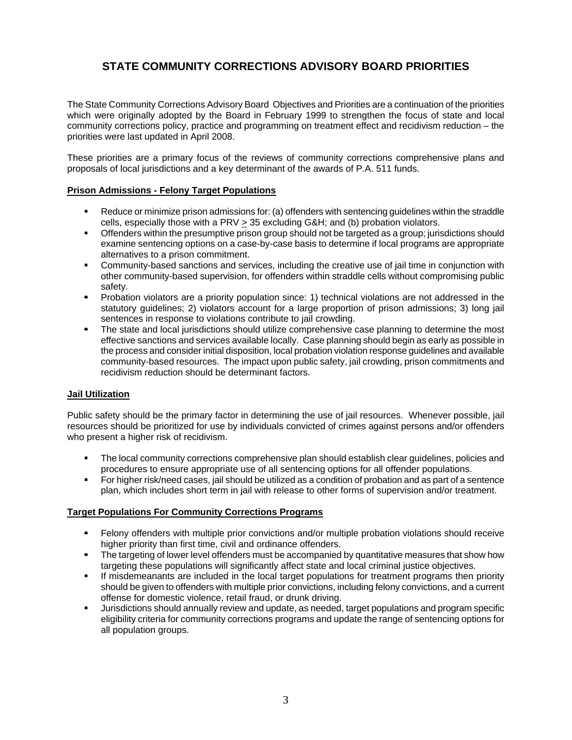# **STATE COMMUNITY CORRECTIONS ADVISORY BOARD PRIORITIES**

The State Community Corrections Advisory Board Objectives and Priorities are a continuation of the priorities which were originally adopted by the Board in February 1999 to strengthen the focus of state and local community corrections policy, practice and programming on treatment effect and recidivism reduction – the priorities were last updated in April 2008.

These priorities are a primary focus of the reviews of community corrections comprehensive plans and proposals of local jurisdictions and a key determinant of the awards of P.A. 511 funds.

### **Prison Admissions - Felony Target Populations**

- Reduce or minimize prison admissions for: (a) offenders with sentencing guidelines within the straddle cells, especially those with a PRV > 35 excluding G&H; and (b) probation violators.
- Offenders within the presumptive prison group should not be targeted as a group; jurisdictions should examine sentencing options on a case-by-case basis to determine if local programs are appropriate alternatives to a prison commitment.
- Community-based sanctions and services, including the creative use of jail time in conjunction with other community-based supervision, for offenders within straddle cells without compromising public safety.
- Probation violators are a priority population since: 1) technical violations are not addressed in the statutory guidelines; 2) violators account for a large proportion of prison admissions; 3) long jail sentences in response to violations contribute to jail crowding.
- The state and local jurisdictions should utilize comprehensive case planning to determine the most effective sanctions and services available locally. Case planning should begin as early as possible in the process and consider initial disposition, local probation violation response guidelines and available community-based resources. The impact upon public safety, jail crowding, prison commitments and recidivism reduction should be determinant factors.

### **Jail Utilization**

Public safety should be the primary factor in determining the use of jail resources. Whenever possible, jail resources should be prioritized for use by individuals convicted of crimes against persons and/or offenders who present a higher risk of recidivism.

- The local community corrections comprehensive plan should establish clear guidelines, policies and procedures to ensure appropriate use of all sentencing options for all offender populations.
- For higher risk/need cases, jail should be utilized as a condition of probation and as part of a sentence plan, which includes short term in jail with release to other forms of supervision and/or treatment.

### **Target Populations For Community Corrections Programs**

- Felony offenders with multiple prior convictions and/or multiple probation violations should receive higher priority than first time, civil and ordinance offenders.
- The targeting of lower level offenders must be accompanied by quantitative measures that show how targeting these populations will significantly affect state and local criminal justice objectives.
- If misdemeanants are included in the local target populations for treatment programs then priority should be given to offenders with multiple prior convictions, including felony convictions, and a current offense for domestic violence, retail fraud, or drunk driving.
- Jurisdictions should annually review and update, as needed, target populations and program specific eligibility criteria for community corrections programs and update the range of sentencing options for all population groups.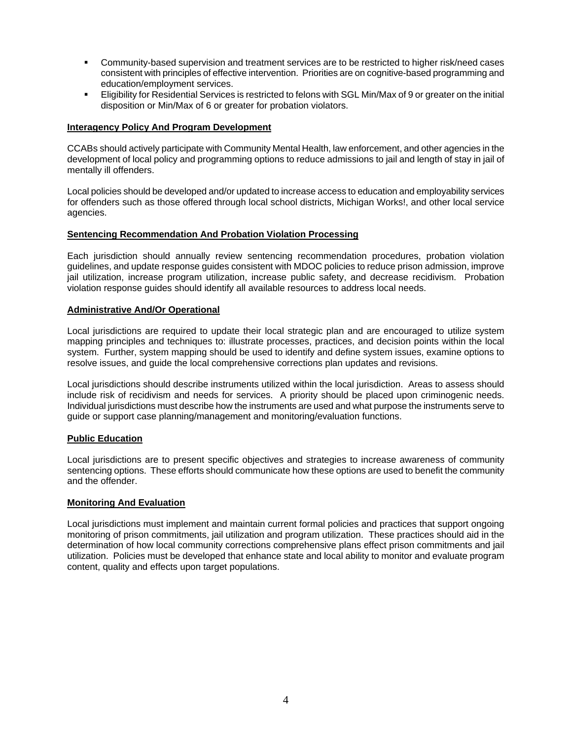- Community-based supervision and treatment services are to be restricted to higher risk/need cases consistent with principles of effective intervention. Priorities are on cognitive-based programming and education/employment services.
- Eligibility for Residential Services is restricted to felons with SGL Min/Max of 9 or greater on the initial disposition or Min/Max of 6 or greater for probation violators.

### **Interagency Policy And Program Development**

CCABs should actively participate with Community Mental Health, law enforcement, and other agencies in the development of local policy and programming options to reduce admissions to jail and length of stay in jail of mentally ill offenders.

Local policies should be developed and/or updated to increase access to education and employability services for offenders such as those offered through local school districts, Michigan Works!, and other local service agencies.

### **Sentencing Recommendation And Probation Violation Processing**

Each jurisdiction should annually review sentencing recommendation procedures, probation violation guidelines, and update response guides consistent with MDOC policies to reduce prison admission, improve jail utilization, increase program utilization, increase public safety, and decrease recidivism. Probation violation response guides should identify all available resources to address local needs.

#### **Administrative And/Or Operational**

Local jurisdictions are required to update their local strategic plan and are encouraged to utilize system mapping principles and techniques to: illustrate processes, practices, and decision points within the local system. Further, system mapping should be used to identify and define system issues, examine options to resolve issues, and guide the local comprehensive corrections plan updates and revisions.

Local jurisdictions should describe instruments utilized within the local jurisdiction. Areas to assess should include risk of recidivism and needs for services. A priority should be placed upon criminogenic needs. Individual jurisdictions must describe how the instruments are used and what purpose the instruments serve to guide or support case planning/management and monitoring/evaluation functions.

### **Public Education**

Local jurisdictions are to present specific objectives and strategies to increase awareness of community sentencing options. These efforts should communicate how these options are used to benefit the community and the offender.

#### **Monitoring And Evaluation**

Local jurisdictions must implement and maintain current formal policies and practices that support ongoing monitoring of prison commitments, jail utilization and program utilization. These practices should aid in the determination of how local community corrections comprehensive plans effect prison commitments and jail utilization. Policies must be developed that enhance state and local ability to monitor and evaluate program content, quality and effects upon target populations.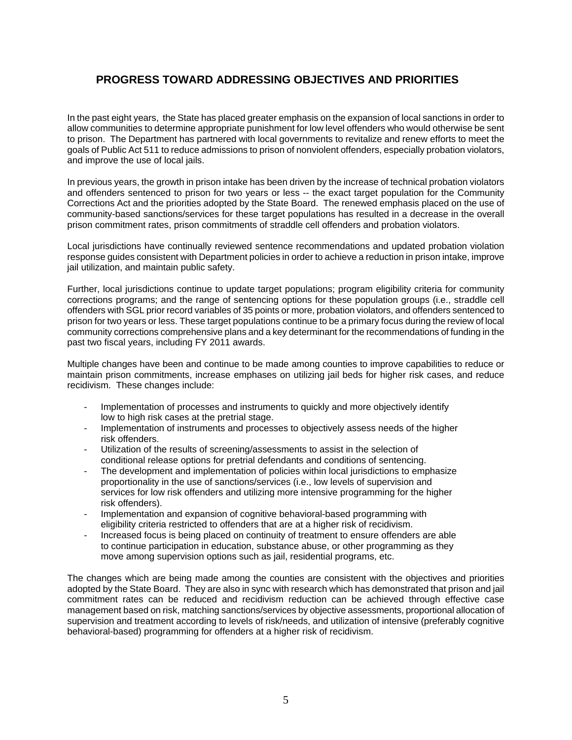# **PROGRESS TOWARD ADDRESSING OBJECTIVES AND PRIORITIES**

In the past eight years, the State has placed greater emphasis on the expansion of local sanctions in order to allow communities to determine appropriate punishment for low level offenders who would otherwise be sent to prison. The Department has partnered with local governments to revitalize and renew efforts to meet the goals of Public Act 511 to reduce admissions to prison of nonviolent offenders, especially probation violators, and improve the use of local jails.

In previous years, the growth in prison intake has been driven by the increase of technical probation violators and offenders sentenced to prison for two years or less -- the exact target population for the Community Corrections Act and the priorities adopted by the State Board. The renewed emphasis placed on the use of community-based sanctions/services for these target populations has resulted in a decrease in the overall prison commitment rates, prison commitments of straddle cell offenders and probation violators.

Local jurisdictions have continually reviewed sentence recommendations and updated probation violation response guides consistent with Department policies in order to achieve a reduction in prison intake, improve jail utilization, and maintain public safety.

Further, local jurisdictions continue to update target populations; program eligibility criteria for community corrections programs; and the range of sentencing options for these population groups (i.e., straddle cell offenders with SGL prior record variables of 35 points or more, probation violators, and offenders sentenced to prison for two years or less. These target populations continue to be a primary focus during the review of local community corrections comprehensive plans and a key determinant for the recommendations of funding in the past two fiscal years, including FY 2011 awards.

Multiple changes have been and continue to be made among counties to improve capabilities to reduce or maintain prison commitments, increase emphases on utilizing jail beds for higher risk cases, and reduce recidivism. These changes include:

- Implementation of processes and instruments to quickly and more objectively identify low to high risk cases at the pretrial stage.
- Implementation of instruments and processes to objectively assess needs of the higher risk offenders.
- Utilization of the results of screening/assessments to assist in the selection of conditional release options for pretrial defendants and conditions of sentencing.
- The development and implementation of policies within local jurisdictions to emphasize proportionality in the use of sanctions/services (i.e., low levels of supervision and services for low risk offenders and utilizing more intensive programming for the higher risk offenders).
- Implementation and expansion of cognitive behavioral-based programming with eligibility criteria restricted to offenders that are at a higher risk of recidivism.
- Increased focus is being placed on continuity of treatment to ensure offenders are able to continue participation in education, substance abuse, or other programming as they move among supervision options such as jail, residential programs, etc.

The changes which are being made among the counties are consistent with the objectives and priorities adopted by the State Board. They are also in sync with research which has demonstrated that prison and jail commitment rates can be reduced and recidivism reduction can be achieved through effective case management based on risk, matching sanctions/services by objective assessments, proportional allocation of supervision and treatment according to levels of risk/needs, and utilization of intensive (preferably cognitive behavioral-based) programming for offenders at a higher risk of recidivism.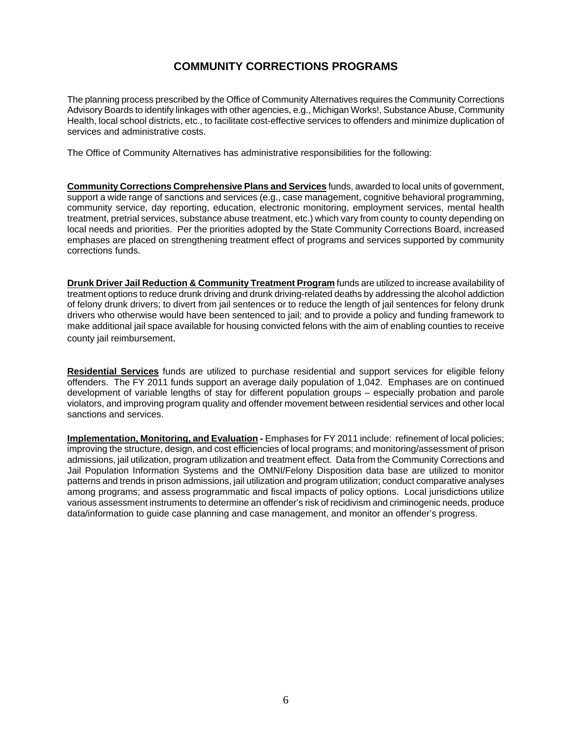# **COMMUNITY CORRECTIONS PROGRAMS**

The planning process prescribed by the Office of Community Alternatives requires the Community Corrections Advisory Boards to identify linkages with other agencies, e.g., Michigan Works!, Substance Abuse, Community Health, local school districts, etc., to facilitate cost-effective services to offenders and minimize duplication of services and administrative costs.

The Office of Community Alternatives has administrative responsibilities for the following:

**Community Corrections Comprehensive Plans and Services** funds, awarded to local units of government, support a wide range of sanctions and services (e.g., case management, cognitive behavioral programming, community service, day reporting, education, electronic monitoring, employment services, mental health treatment, pretrial services, substance abuse treatment, etc.) which vary from county to county depending on local needs and priorities. Per the priorities adopted by the State Community Corrections Board, increased emphases are placed on strengthening treatment effect of programs and services supported by community corrections funds.

**Drunk Driver Jail Reduction & Community Treatment Program** funds are utilized to increase availability of treatment options to reduce drunk driving and drunk driving-related deaths by addressing the alcohol addiction of felony drunk drivers; to divert from jail sentences or to reduce the length of jail sentences for felony drunk drivers who otherwise would have been sentenced to jail; and to provide a policy and funding framework to make additional jail space available for housing convicted felons with the aim of enabling counties to receive county jail reimbursement.

**Residential Services** funds are utilized to purchase residential and support services for eligible felony offenders. The FY 2011 funds support an average daily population of 1,042. Emphases are on continued development of variable lengths of stay for different population groups – especially probation and parole violators, and improving program quality and offender movement between residential services and other local sanctions and services.

**Implementation, Monitoring, and Evaluation - Emphases for FY 2011 include: refinement of local policies;** improving the structure, design, and cost efficiencies of local programs; and monitoring/assessment of prison admissions, jail utilization, program utilization and treatment effect. Data from the Community Corrections and Jail Population Information Systems and the OMNI/Felony Disposition data base are utilized to monitor patterns and trends in prison admissions, jail utilization and program utilization; conduct comparative analyses among programs; and assess programmatic and fiscal impacts of policy options. Local jurisdictions utilize various assessment instruments to determine an offender's risk of recidivism and criminogenic needs, produce data/information to guide case planning and case management, and monitor an offender's progress.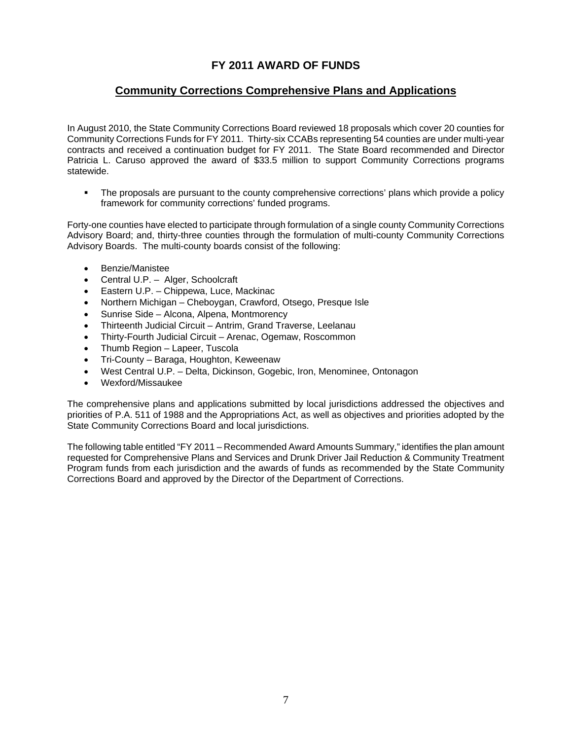# **FY 2011 AWARD OF FUNDS**

## **Community Corrections Comprehensive Plans and Applications**

In August 2010, the State Community Corrections Board reviewed 18 proposals which cover 20 counties for Community Corrections Funds for FY 2011. Thirty-six CCABs representing 54 counties are under multi-year contracts and received a continuation budget for FY 2011. The State Board recommended and Director Patricia L. Caruso approved the award of \$33.5 million to support Community Corrections programs statewide.

• The proposals are pursuant to the county comprehensive corrections' plans which provide a policy framework for community corrections' funded programs.

Forty-one counties have elected to participate through formulation of a single county Community Corrections Advisory Board; and, thirty-three counties through the formulation of multi-county Community Corrections Advisory Boards. The multi-county boards consist of the following:

- Benzie/Manistee
- Central U.P. Alger, Schoolcraft
- Eastern U.P. Chippewa, Luce, Mackinac
- Northern Michigan Cheboygan, Crawford, Otsego, Presque Isle
- Sunrise Side Alcona, Alpena, Montmorency
- Thirteenth Judicial Circuit Antrim, Grand Traverse, Leelanau
- Thirty-Fourth Judicial Circuit Arenac, Ogemaw, Roscommon
- Thumb Region Lapeer, Tuscola
- Tri-County Baraga, Houghton, Keweenaw
- West Central U.P. Delta, Dickinson, Gogebic, Iron, Menominee, Ontonagon
- Wexford/Missaukee

The comprehensive plans and applications submitted by local jurisdictions addressed the objectives and priorities of P.A. 511 of 1988 and the Appropriations Act, as well as objectives and priorities adopted by the State Community Corrections Board and local jurisdictions.

The following table entitled "FY 2011 – Recommended Award Amounts Summary," identifies the plan amount requested for Comprehensive Plans and Services and Drunk Driver Jail Reduction & Community Treatment Program funds from each jurisdiction and the awards of funds as recommended by the State Community Corrections Board and approved by the Director of the Department of Corrections.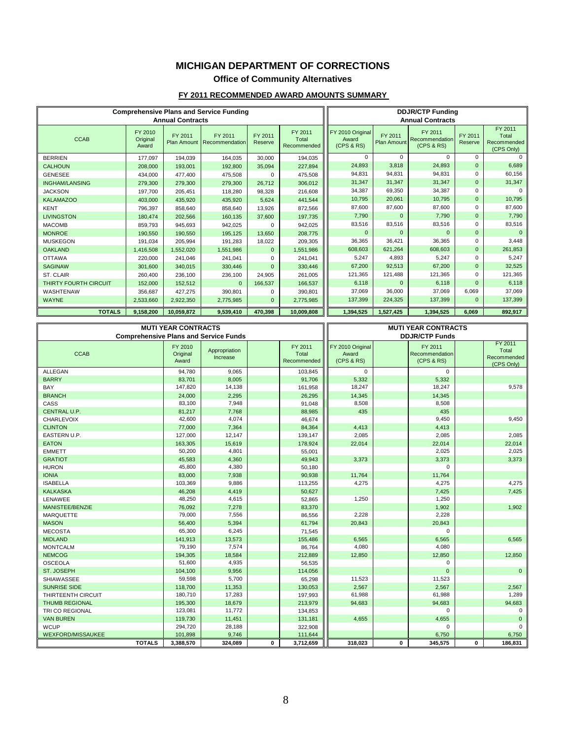## **MICHIGAN DEPARTMENT OF CORRECTIONS**

# **Office of Community Alternatives**

### **FY 2011 RECOMMENDED AWARD AMOUNTS SUMMARY**

| <b>Comprehensive Plans and Service Funding</b><br><b>Annual Contracts</b> |                              |            |                                         |                    |                                 | <b>DDJR/CTP Funding</b><br><b>Annual Contracts</b> |                               |                                         |                    |                                               |
|---------------------------------------------------------------------------|------------------------------|------------|-----------------------------------------|--------------------|---------------------------------|----------------------------------------------------|-------------------------------|-----------------------------------------|--------------------|-----------------------------------------------|
| <b>CCAB</b>                                                               | FY 2010<br>Original<br>Award | FY 2011    | FY 2011<br>Plan Amount   Recommendation | FY 2011<br>Reserve | FY 2011<br>Total<br>Recommended | FY 2010 Original<br>Award<br>(CPS & RS)            | FY 2011<br><b>Plan Amount</b> | FY 2011<br>Recommendation<br>(CPS & RS) | FY 2011<br>Reserve | FY 2011<br>Total<br>Recommended<br>(CPS Only) |
| <b>BERRIEN</b>                                                            | 177,097                      | 194,039    | 164.035                                 | 30,000             | 194,035                         | $\Omega$                                           | $\Omega$                      | $\Omega$                                | $\Omega$           | $\Omega$                                      |
| <b>CALHOUN</b>                                                            | 208,000                      | 193,001    | 192,800                                 | 35,094             | 227,894                         | 24,893                                             | 3,818                         | 24,893                                  | $\mathbf{0}$       | 6,689                                         |
| <b>GENESEE</b>                                                            | 434,000                      | 477,400    | 475,508                                 |                    | 475,508                         | 94,831                                             | 94,831                        | 94,831                                  | 0                  | 60,156                                        |
| <b>INGHAM/LANSING</b>                                                     | 279,300                      | 279,300    | 279,300                                 | 26,712             | 306,012                         | 31,347                                             | 31,347                        | 31,347                                  | $\mathbf{0}$       | 31,347                                        |
| <b>JACKSON</b>                                                            | 197.700                      | 205,451    | 118,280                                 | 98,328             | 216,608                         | 34,387                                             | 69,350                        | 34,387                                  | $\Omega$           | $\Omega$                                      |
| <b>KALAMAZOO</b>                                                          | 403,000                      | 435,920    | 435,920                                 | 5,624              | 441,544                         | 10,795                                             | 20,061                        | 10,795                                  | $\mathbf{0}$       | 10,795                                        |
| <b>KENT</b>                                                               | 796,397                      | 858,640    | 858,640                                 | 13,926             | 872,566                         | 87,600                                             | 87,600                        | 87,600                                  | 0                  | 87,600                                        |
| <b>LIVINGSTON</b>                                                         | 180,474                      | 202,566    | 160,135                                 | 37,600             | 197,735                         | 7,790                                              | $\mathbf{0}$                  | 7,790                                   | $\mathbf 0$        | 7,790                                         |
| <b>MACOMB</b>                                                             | 859.793                      | 945,693    | 942,025                                 | 0                  | 942,025                         | 83,516                                             | 83,516                        | 83,516                                  | $\Omega$           | 83,516                                        |
| <b>MONROE</b>                                                             | 190,550                      | 190,550    | 195,125                                 | 13,650             | 208,775                         | $\mathbf{0}$                                       | $\Omega$                      | $\Omega$                                | $\mathbf{0}$       | $\mathbf{0}$                                  |
| <b>MUSKEGON</b>                                                           | 191.034                      | 205.994    | 191.283                                 | 18,022             | 209,305                         | 36,365                                             | 36,421                        | 36,365                                  | 0                  | 3,448                                         |
| <b>OAKLAND</b>                                                            | 1,416,508                    | 1,552,020  | 1,551,986                               | $\mathbf{0}$       | 1,551,986                       | 608,603                                            | 621,264                       | 608,603                                 | $\mathbf 0$        | 261,853                                       |
| <b>OTTAWA</b>                                                             | 220,000                      | 241,046    | 241,041                                 | 0                  | 241,041                         | 5,247                                              | 4,893                         | 5,247                                   | $\Omega$           | 5,247                                         |
| <b>SAGINAW</b>                                                            | 301,600                      | 340,015    | 330,446                                 | $\mathbf{0}$       | 330,446                         | 67,200                                             | 92,513                        | 67,200                                  | $\mathbf{0}$       | 32,525                                        |
| ST. CLAIR                                                                 | 260,400                      | 236,100    | 236,100                                 | 24,905             | 261,005                         | 121,365                                            | 121,488                       | 121.365                                 | $\Omega$           | 121,365                                       |
| THIRTY FOURTH CIRCUIT                                                     | 152,000                      | 152,512    | $\mathbf{0}$                            | 166,537            | 166,537                         | 6,118                                              | $\Omega$                      | 6,118                                   | $\mathbf{0}$       | 6,118                                         |
| WASHTENAW                                                                 | 356,687                      | 427,275    | 390,801                                 | 0                  | 390,801                         | 37,069                                             | 36,000                        | 37,069                                  | 6,069              | 37,069                                        |
| <b>WAYNE</b>                                                              | 2,533,660                    | 2,922,350  | 2,775,985                               | $\mathbf{0}$       | 2,775,985                       | 137,399                                            | 224,325                       | 137,399                                 | $\Omega$           | 137,399                                       |
| <b>TOTALS</b>                                                             | 9,158,200                    | 10,059,872 | 9,539,410                               | 470.398            | 10,009,808                      | 1,394,525                                          | 1,527,425                     | 1,394,525                               | 6.069              | 892,917                                       |

| <b>MUTI YEAR CONTRACTS</b>                   |                              |                           |              |                                 |                                         | <b>MUTI YEAR CONTRACTS</b> |                                         |              |                                               |
|----------------------------------------------|------------------------------|---------------------------|--------------|---------------------------------|-----------------------------------------|----------------------------|-----------------------------------------|--------------|-----------------------------------------------|
| <b>Comprehensive Plans and Service Funds</b> |                              |                           |              |                                 | <b>DDJR/CTP Funds</b>                   |                            |                                         |              |                                               |
| <b>CCAB</b>                                  | FY 2010<br>Original<br>Award | Appropriation<br>Increase |              | FY 2011<br>Total<br>Recommended | FY 2010 Original<br>Award<br>(CPS & RS) |                            | FY 2011<br>Recommendation<br>(CPS & RS) |              | FY 2011<br>Total<br>Recommended<br>(CPS Only) |
| <b>ALLEGAN</b>                               | 94,780                       | 9,065                     |              | 103,845                         | $\Omega$                                |                            | $\Omega$                                |              |                                               |
| <b>BARRY</b>                                 | 83,701                       | 8,005                     |              | 91,706                          | 5,332                                   |                            | 5,332                                   |              |                                               |
| BAY                                          | 147,820                      | 14,138                    |              | 161,958                         | 18,247                                  |                            | 18,247                                  |              | 9,578                                         |
| <b>BRANCH</b>                                | 24,000                       | 2,295                     |              | 26,295                          | 14,345                                  |                            | 14,345                                  |              |                                               |
| CASS                                         | 83,100                       | 7,948                     |              | 91,048                          | 8,508                                   |                            | 8,508                                   |              |                                               |
| CENTRAL U.P.                                 | 81,217                       | 7,768                     |              | 88,985                          | 435                                     |                            | 435                                     |              |                                               |
| <b>CHARLEVOIX</b>                            | 42,600                       | 4,074                     |              | 46,674                          |                                         |                            | 9,450                                   |              | 9,450                                         |
| <b>CLINTON</b>                               | 77,000                       | 7,364                     |              | 84,364                          | 4,413                                   |                            | 4,413                                   |              |                                               |
| EASTERN U.P.                                 | 127,000                      | 12,147                    |              | 139,147                         | 2,085                                   |                            | 2,085                                   |              | 2,085                                         |
| <b>EATON</b>                                 | 163,305                      | 15,619                    |              | 178,924                         | 22,014                                  |                            | 22,014                                  |              | 22,014                                        |
| <b>EMMETT</b>                                | 50,200                       | 4,801                     |              | 55,001                          |                                         |                            | 2,025                                   |              | 2,025                                         |
| <b>GRATIOT</b>                               | 45,583                       | 4,360                     |              | 49,943                          | 3,373                                   |                            | 3,373                                   |              | 3,373                                         |
| <b>HURON</b>                                 | 45,800                       | 4,380                     |              | 50,180                          |                                         |                            | $\mathbf 0$                             |              |                                               |
| <b>IONIA</b>                                 | 83,000                       | 7,938                     |              | 90,938                          | 11,764                                  |                            | 11,764                                  |              |                                               |
| <b>ISABELLA</b>                              | 103,369                      | 9,886                     |              | 113,255                         | 4,275                                   |                            | 4,275                                   |              | 4,275                                         |
| <b>KALKASKA</b>                              | 46,208                       | 4,419                     |              | 50,627                          |                                         |                            | 7,425                                   |              | 7,425                                         |
| LENAWEE                                      | 48,250                       | 4,615                     |              | 52,865                          | 1,250                                   |                            | 1,250                                   |              |                                               |
| MANISTEE/BENZIE                              | 76,092                       | 7,278                     |              | 83,370                          |                                         |                            | 1,902                                   |              | 1,902                                         |
| <b>MARQUETTE</b>                             | 79,000                       | 7,556                     |              | 86,556                          | 2,228                                   |                            | 2,228                                   |              |                                               |
| <b>MASON</b>                                 | 56,400                       | 5,394                     |              | 61,794                          | 20,843                                  |                            | 20,843                                  |              |                                               |
| <b>MECOSTA</b>                               | 65,300                       | 6,245                     |              | 71,545                          |                                         |                            | $\Omega$                                |              |                                               |
| <b>MIDLAND</b>                               | 141,913                      | 13,573                    |              | 155,486                         | 6,565                                   |                            | 6,565                                   |              | 6,565                                         |
| <b>MONTCALM</b>                              | 79,190                       | 7,574                     |              | 86,764                          | 4,080                                   |                            | 4,080                                   |              |                                               |
| <b>NEMCOG</b>                                | 194,305                      | 18,584                    |              | 212,889                         | 12,850                                  |                            | 12.850                                  |              | 12,850                                        |
| <b>OSCEOLA</b>                               | 51,600                       | 4,935                     |              | 56,535                          |                                         |                            | $\mathbf 0$                             |              |                                               |
| ST. JOSEPH                                   | 104,100                      | 9,956                     |              | 114,056                         |                                         |                            | $\mathbf{0}$                            |              | $\mathbf{0}$                                  |
| <b>SHIAWASSEE</b>                            | 59,598                       | 5,700                     |              | 65,298                          | 11,523                                  |                            | 11,523                                  |              |                                               |
| <b>SUNRISE SIDE</b>                          | 118,700                      | 11,353                    |              | 130,053                         | 2,567                                   |                            | 2,567                                   |              | 2,567                                         |
| THIRTEENTH CIRCUIT                           | 180,710                      | 17,283                    |              | 197,993                         | 61,988                                  |                            | 61,988                                  |              | 1,289                                         |
| <b>THUMB REGIONAL</b>                        | 195,300                      | 18,679                    |              | 213,979                         | 94,683                                  |                            | 94.683                                  |              | 94,683                                        |
| TRI CO REGIONAL                              | 123,081                      | 11,772                    |              | 134,853                         |                                         |                            | $\Omega$                                |              | $\Omega$                                      |
| <b>VAN BUREN</b>                             | 119,730                      | 11,451                    |              | 131,181                         | 4.655                                   |                            | 4,655                                   |              | $\mathbf{0}$                                  |
| <b>WCUP</b>                                  | 294,720                      | 28,188                    |              | 322,908                         |                                         |                            | $\Omega$                                |              | $\Omega$                                      |
| <b>WEXFORD/MISSAUKEE</b>                     | 101,898                      | 9,746                     |              | 111,644                         |                                         |                            | 6,750                                   |              | 6,750                                         |
| <b>TOTALS</b>                                | 3,388,570                    | 324.089                   | $\mathbf{0}$ | 3,712,659                       | 318.023                                 | $\mathbf{0}$               | 345,575                                 | $\mathbf{0}$ | 186,831                                       |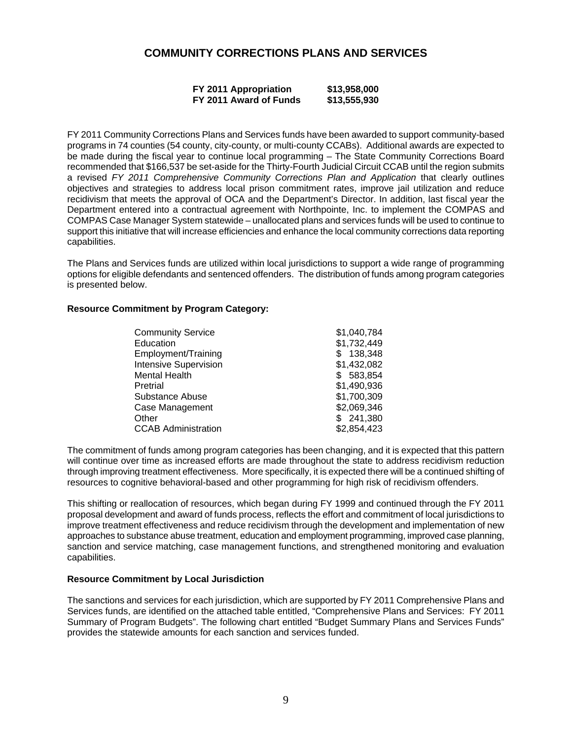## **COMMUNITY CORRECTIONS PLANS AND SERVICES**

| FY 2011 Appropriation  | \$13,958,000 |
|------------------------|--------------|
| FY 2011 Award of Funds | \$13,555,930 |

FY 2011 Community Corrections Plans and Services funds have been awarded to support community-based programs in 74 counties (54 county, city-county, or multi-county CCABs). Additional awards are expected to be made during the fiscal year to continue local programming – The State Community Corrections Board recommended that \$166,537 be set-aside for the Thirty-Fourth Judicial Circuit CCAB until the region submits a revised *FY 2011 Comprehensive Community Corrections Plan and Application* that clearly outlines objectives and strategies to address local prison commitment rates, improve jail utilization and reduce recidivism that meets the approval of OCA and the Department's Director. In addition, last fiscal year the Department entered into a contractual agreement with Northpointe, Inc. to implement the COMPAS and COMPAS Case Manager System statewide – unallocated plans and services funds will be used to continue to support this initiative that will increase efficiencies and enhance the local community corrections data reporting capabilities.

The Plans and Services funds are utilized within local jurisdictions to support a wide range of programming options for eligible defendants and sentenced offenders. The distribution of funds among program categories is presented below.

#### **Resource Commitment by Program Category:**

| Education                    | \$1,732,449 |
|------------------------------|-------------|
|                              |             |
| Employment/Training          | 138,348     |
| <b>Intensive Supervision</b> | \$1,432,082 |
| <b>Mental Health</b>         | \$583,854   |
| Pretrial                     | \$1,490,936 |
| Substance Abuse              | \$1,700,309 |
| <b>Case Management</b>       | \$2,069,346 |
| Other                        | \$241,380   |
| <b>CCAB Administration</b>   | \$2,854,423 |

The commitment of funds among program categories has been changing, and it is expected that this pattern will continue over time as increased efforts are made throughout the state to address recidivism reduction through improving treatment effectiveness. More specifically, it is expected there will be a continued shifting of resources to cognitive behavioral-based and other programming for high risk of recidivism offenders.

This shifting or reallocation of resources, which began during FY 1999 and continued through the FY 2011 proposal development and award of funds process, reflects the effort and commitment of local jurisdictions to improve treatment effectiveness and reduce recidivism through the development and implementation of new approaches to substance abuse treatment, education and employment programming, improved case planning, sanction and service matching, case management functions, and strengthened monitoring and evaluation capabilities.

#### **Resource Commitment by Local Jurisdiction**

The sanctions and services for each jurisdiction, which are supported by FY 2011 Comprehensive Plans and Services funds, are identified on the attached table entitled, "Comprehensive Plans and Services: FY 2011 Summary of Program Budgets". The following chart entitled "Budget Summary Plans and Services Funds" provides the statewide amounts for each sanction and services funded.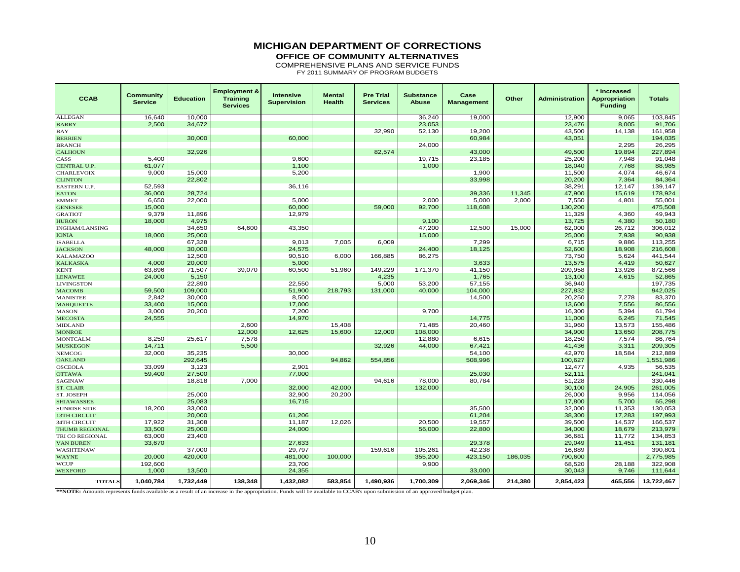### **MICHIGAN DEPARTMENT OF CORRECTIONS**

**OFFICE OF COMMUNITY ALTERNATIVES**

COMPREHENSIVE PLANS AND SERVICE FUNDS

FY 2011 SUMMARY OF PROGRAM BUDGETS

| <b>CCAB</b>         | <b>Community</b><br><b>Service</b> | <b>Education</b> | <b>Employment &amp;</b><br><b>Training</b><br><b>Services</b> | Intensive<br><b>Supervision</b> | <b>Mental</b><br><b>Health</b> | <b>Pre Trial</b><br><b>Services</b> | <b>Substance</b><br><b>Abuse</b> | Case<br><b>Management</b> | Other   | <b>Administration</b> | * Increased<br><b>Appropriation</b><br><b>Funding</b> | <b>Totals</b> |
|---------------------|------------------------------------|------------------|---------------------------------------------------------------|---------------------------------|--------------------------------|-------------------------------------|----------------------------------|---------------------------|---------|-----------------------|-------------------------------------------------------|---------------|
| <b>ALLEGAN</b>      | 16,640                             | 10,000           |                                                               |                                 |                                |                                     | 36,240                           | 19,000                    |         | 12,900                | 9,065                                                 | 103,845       |
| <b>BARRY</b>        | 2,500                              | 34,672           |                                                               |                                 |                                |                                     | 23,053                           |                           |         | 23,476                | 8,005                                                 | 91,706        |
| <b>BAY</b>          |                                    |                  |                                                               |                                 |                                | 32,990                              | 52,130                           | 19,200                    |         | 43,500                | 14,138                                                | 161,958       |
| <b>BERRIEN</b>      |                                    | 30,000           |                                                               | 60,000                          |                                |                                     |                                  | 60,984                    |         | 43,051                |                                                       | 194,035       |
| <b>BRANCH</b>       |                                    |                  |                                                               |                                 |                                |                                     | 24,000                           |                           |         |                       | 2,295                                                 | 26,295        |
| <b>CALHOUN</b>      |                                    | 32,926           |                                                               |                                 |                                | 82,574                              |                                  | 43,000                    |         | 49,500                | 19,894                                                | 227,894       |
| CASS                | 5,400                              |                  |                                                               | 9,600                           |                                |                                     | 19,715                           | 23,185                    |         | 25,200                | 7,948                                                 | 91,048        |
| CENTRAL U.P.        | 61,077                             |                  |                                                               | 1,100                           |                                |                                     | 1,000                            |                           |         | 18,040                | 7,768                                                 | 88,985        |
| <b>CHARLEVOIX</b>   | 9,000                              | 15,000           |                                                               | 5,200                           |                                |                                     |                                  | 1,900                     |         | 11,500                | 4,074                                                 | 46,674        |
| <b>CLINTON</b>      |                                    | 22,802           |                                                               |                                 |                                |                                     |                                  | 33,998                    |         | 20,200                | 7,364                                                 | 84,364        |
| EASTERN U.P.        | 52,593                             |                  |                                                               | 36,116                          |                                |                                     |                                  |                           |         | 38,291                | 12,147                                                | 139,147       |
| <b>EATON</b>        | 36,000                             | 28,724           |                                                               |                                 |                                |                                     |                                  | 39,336                    | 11,345  | 47,900                | 15,619                                                | 178,924       |
| <b>EMMET</b>        | 6,650                              | 22,000           |                                                               | 5,000                           |                                |                                     | 2,000                            | 5,000                     | 2,000   | 7,550                 | 4,801                                                 | 55,001        |
| <b>GENESEE</b>      | 15,000                             |                  |                                                               | 60,000                          |                                | 59,000                              | 92,700                           | 118,608                   |         | 130,200               |                                                       | 475,508       |
| <b>GRATIOT</b>      | 9,379                              | 11,896           |                                                               | 12,979                          |                                |                                     |                                  |                           |         | 11,329                | 4,360                                                 | 49,943        |
| <b>HURON</b>        | 18,000                             | 4,975            |                                                               |                                 |                                |                                     | 9,100                            |                           |         | 13,725                | 4,380                                                 | 50,180        |
| INGHAM/LANSING      |                                    | 34,650           | 64,600                                                        | 43,350                          |                                |                                     | 47,200                           | 12,500                    | 15,000  | 62,000                | 26,712                                                | 306,012       |
| <b>IONIA</b>        | 18,000                             | 25,000           |                                                               |                                 |                                |                                     | 15,000                           |                           |         | 25,000                | 7,938                                                 | 90,938        |
| <b>ISABELLA</b>     |                                    | 67,328           |                                                               | 9,013                           | 7,005                          | 6,009                               |                                  | 7,299                     |         | 6,715                 | 9,886                                                 | 113,255       |
| <b>JACKSON</b>      | 48,000                             | 30,000           |                                                               | 24,575                          |                                |                                     | 24,400                           | 18,125                    |         | 52,600                | 18,908                                                | 216,608       |
| <b>KALAMAZOO</b>    |                                    | 12,500           |                                                               | 90,510                          | 6,000                          | 166,885                             | 86,275                           |                           |         | 73,750                | 5,624                                                 | 441,544       |
| <b>KALKASKA</b>     | 4,000                              | 20,000           |                                                               | 5,000                           |                                |                                     |                                  | 3,633                     |         | 13,575                | 4,419                                                 | 50,627        |
| <b>KENT</b>         | 63,896                             | 71,507           | 39,070                                                        | 60,500                          | 51,960                         | 149,229                             | 171,370                          | 41,150                    |         | 209,958               | 13,926                                                | 872,566       |
| <b>LENAWEE</b>      | 24,000                             | 5,150            |                                                               |                                 |                                | 4,235                               |                                  | 1,765                     |         | 13,100                | 4,615                                                 | 52,865        |
| <b>LIVINGSTON</b>   |                                    | 22,890           |                                                               | 22,550                          |                                | 5,000                               | 53,200                           | 57,155                    |         | 36,940                |                                                       | 197,735       |
| <b>MACOMB</b>       | 59,500                             | 109,000          |                                                               | 51,900                          | 218,793                        | 131,000                             | 40,000                           | 104,000                   |         | 227,832               |                                                       | 942,025       |
| <b>MANISTEE</b>     | 2,842                              | 30,000           |                                                               | 8,500                           |                                |                                     |                                  | 14,500                    |         | 20,250                | 7,278                                                 | 83,370        |
| <b>MARQUETTE</b>    | 33,400                             | 15,000           |                                                               | 17,000                          |                                |                                     |                                  |                           |         | 13,600                | 7,556                                                 | 86,556        |
| <b>MASON</b>        | 3,000                              | 20,200           |                                                               | 7,200                           |                                |                                     | 9,700                            |                           |         | 16,300                | 5,394                                                 | 61,794        |
| <b>MECOSTA</b>      | 24,555                             |                  |                                                               | 14,970                          |                                |                                     |                                  | 14,775                    |         | 11,000                | 6,245                                                 | 71,545        |
| <b>MIDLAND</b>      |                                    |                  | 2,600                                                         |                                 | 15,408                         |                                     | 71,485                           | 20,460                    |         | 31,960                | 13,573                                                | 155,486       |
| <b>MONROE</b>       |                                    |                  | 12,000                                                        | 12,625                          | 15,600                         | 12,000                              | 108,000                          |                           |         | 34,900                | 13,650                                                | 208,775       |
| <b>MONTCALM</b>     | 8,250                              | 25,617           | 7,578                                                         |                                 |                                |                                     | 12,880                           | 6,615                     |         | 18,250                | 7,574                                                 | 86,764        |
| <b>MUSKEGON</b>     | 14,711                             |                  | 5,500                                                         |                                 |                                | 32,926                              | 44,000                           | 67,421                    |         | 41,436                | 3,311                                                 | 209,305       |
| <b>NEMCOG</b>       | 32,000                             | 35,235           |                                                               | 30,000                          |                                |                                     |                                  | 54,100                    |         | 42,970                | 18,584                                                | 212,889       |
| <b>OAKLAND</b>      |                                    | 292,645          |                                                               |                                 | 94,862                         | 554,856                             |                                  | 508,996                   |         | 100,627               |                                                       | 1,551,986     |
| <b>OSCEOLA</b>      | 33,099                             | 3,123            |                                                               | 2,901                           |                                |                                     |                                  |                           |         | 12,477                | 4,935                                                 | 56,535        |
| <b>OTTAWA</b>       | 59,400                             | 27,500           |                                                               | 77,000                          |                                |                                     |                                  | 25,030                    |         | 52,111                |                                                       | 241,041       |
| SAGINAW             |                                    | 18,818           | 7,000                                                         |                                 |                                | 94,616                              | 78,000                           | 80,784                    |         | 51,228                |                                                       | 330,446       |
| <b>ST. CLAIR</b>    |                                    |                  |                                                               | 32,000                          | 42,000                         |                                     | 132,000                          |                           |         | 30,100                | 24,905                                                | 261,005       |
| ST. JOSEPH          |                                    | 25,000           |                                                               | 32,900                          | 20,200                         |                                     |                                  |                           |         | 26,000                | 9,956                                                 | 114,056       |
| <b>SHIAWASSEE</b>   |                                    | 25,083           |                                                               | 16,715                          |                                |                                     |                                  |                           |         | 17,800                | 5,700                                                 | 65,298        |
| <b>SUNRISE SIDE</b> | 18,200                             | 33,000           |                                                               |                                 |                                |                                     |                                  | 35,500                    |         | 32,000                | 11,353                                                | 130,053       |
| <b>13TH CIRCUIT</b> |                                    | 20,000           |                                                               | 61,206                          |                                |                                     |                                  | 61,204                    |         | 38,300                | 17,283                                                | 197,993       |
| 34TH CIRCUIT        | 17,922                             | 31,308           |                                                               | 11,187                          | 12,026                         |                                     | 20,500                           | 19,557                    |         | 39,500                | 14,537                                                | 166,537       |
| THUMB REGIONAL      | 33,500                             | 25,000           |                                                               | 24,000                          |                                |                                     | 56,000                           | 22,800                    |         | 34,000                | 18,679                                                | 213,979       |
| TRI CO REGIONAL     | 63,000                             | 23,400           |                                                               |                                 |                                |                                     |                                  |                           |         | 36,681                | 11,772                                                | 134,853       |
| <b>VAN BUREN</b>    | 33,670                             |                  |                                                               | 27,633                          |                                |                                     |                                  | 29,378                    |         | 29,049                | 11,451                                                | 131,181       |
| WASHTENAW           |                                    | 37,000           |                                                               | 29,797                          |                                | 159,616                             | 105,261                          | 42,238                    |         | 16,889                |                                                       | 390,801       |
| <b>WAYNE</b>        | 20,000                             | 420,000          |                                                               | 481,000                         | 100,000                        |                                     | 355,200                          | 423,150                   | 186,035 | 790,600               |                                                       | 2,775,985     |
| <b>WCUP</b>         | 192,600                            |                  |                                                               | 23,700                          |                                |                                     | 9,900                            |                           |         | 68,520                | 28,188                                                | 322,908       |
| <b>WEXFORD</b>      | 1,000                              | 13,500           |                                                               | 24,355                          |                                |                                     |                                  | 33,000                    |         | 30,043                | 9,746                                                 | 111,644       |
| <b>TOTALS</b>       | 1,040,784                          | 1,732,449        | 138,348                                                       | 1,432,082                       | 583,854                        | 1,490,936                           | 1,700,309                        | 2,069,346                 | 214,380 | 2,854,423             | 465,556                                               | 13,722,467    |

**Example 2**<br>**\*\*NOTE:** Amounts represents funds available as a result of an increase in the appropriation. Funds will be available to CCAB's upon submission of an approved budget plan.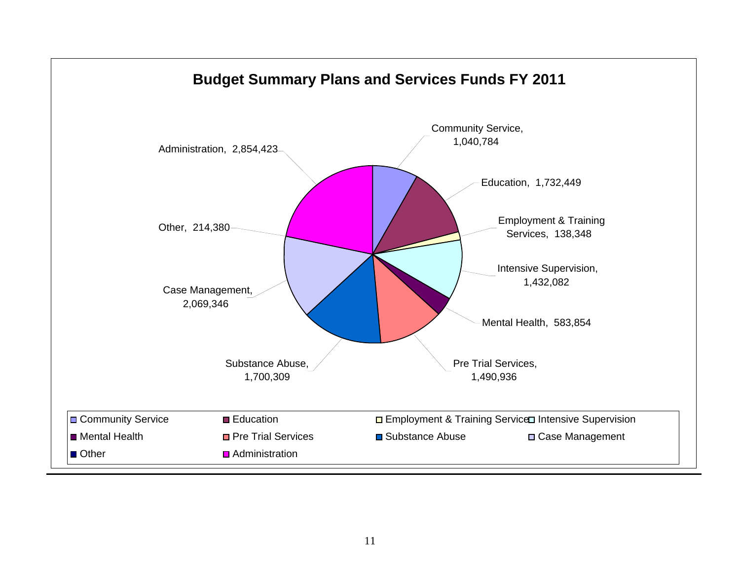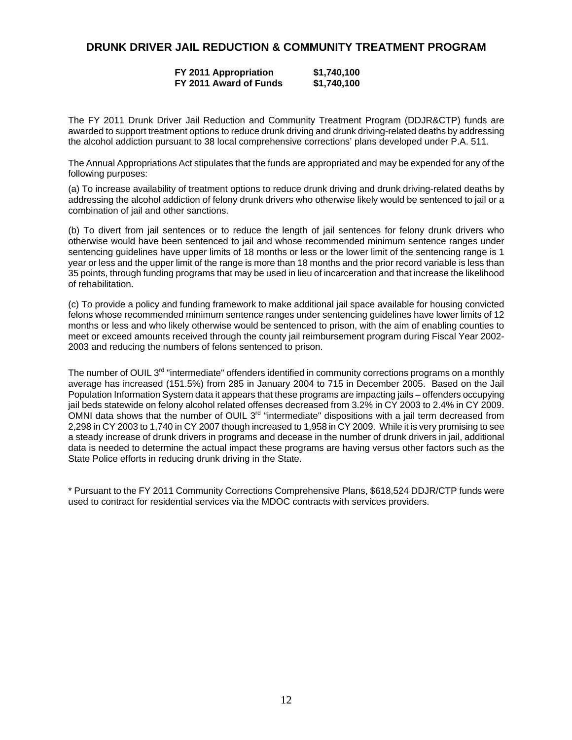### **DRUNK DRIVER JAIL REDUCTION & COMMUNITY TREATMENT PROGRAM**

### **FY 2011 Appropriation \$1,740,100 FY 2011 Award of Funds \$1,740,100**

The FY 2011 Drunk Driver Jail Reduction and Community Treatment Program (DDJR&CTP) funds are awarded to support treatment options to reduce drunk driving and drunk driving-related deaths by addressing the alcohol addiction pursuant to 38 local comprehensive corrections' plans developed under P.A. 511.

The Annual Appropriations Act stipulates that the funds are appropriated and may be expended for any of the following purposes:

(a) To increase availability of treatment options to reduce drunk driving and drunk driving-related deaths by addressing the alcohol addiction of felony drunk drivers who otherwise likely would be sentenced to jail or a combination of jail and other sanctions.

(b) To divert from jail sentences or to reduce the length of jail sentences for felony drunk drivers who otherwise would have been sentenced to jail and whose recommended minimum sentence ranges under sentencing guidelines have upper limits of 18 months or less or the lower limit of the sentencing range is 1 year or less and the upper limit of the range is more than 18 months and the prior record variable is less than 35 points, through funding programs that may be used in lieu of incarceration and that increase the likelihood of rehabilitation.

(c) To provide a policy and funding framework to make additional jail space available for housing convicted felons whose recommended minimum sentence ranges under sentencing guidelines have lower limits of 12 months or less and who likely otherwise would be sentenced to prison, with the aim of enabling counties to meet or exceed amounts received through the county jail reimbursement program during Fiscal Year 2002- 2003 and reducing the numbers of felons sentenced to prison.

The number of OUIL 3<sup>rd</sup> "intermediate" offenders identified in community corrections programs on a monthly average has increased (151.5%) from 285 in January 2004 to 715 in December 2005. Based on the Jail Population Information System data it appears that these programs are impacting jails – offenders occupying jail beds statewide on felony alcohol related offenses decreased from 3.2% in CY 2003 to 2.4% in CY 2009. OMNI data shows that the number of OUIL 3<sup>rd</sup> "intermediate" dispositions with a jail term decreased from 2,298 in CY 2003 to 1,740 in CY 2007 though increased to 1,958 in CY 2009. While it is very promising to see a steady increase of drunk drivers in programs and decease in the number of drunk drivers in jail, additional data is needed to determine the actual impact these programs are having versus other factors such as the State Police efforts in reducing drunk driving in the State.

\* Pursuant to the FY 2011 Community Corrections Comprehensive Plans, \$618,524 DDJR/CTP funds were used to contract for residential services via the MDOC contracts with services providers.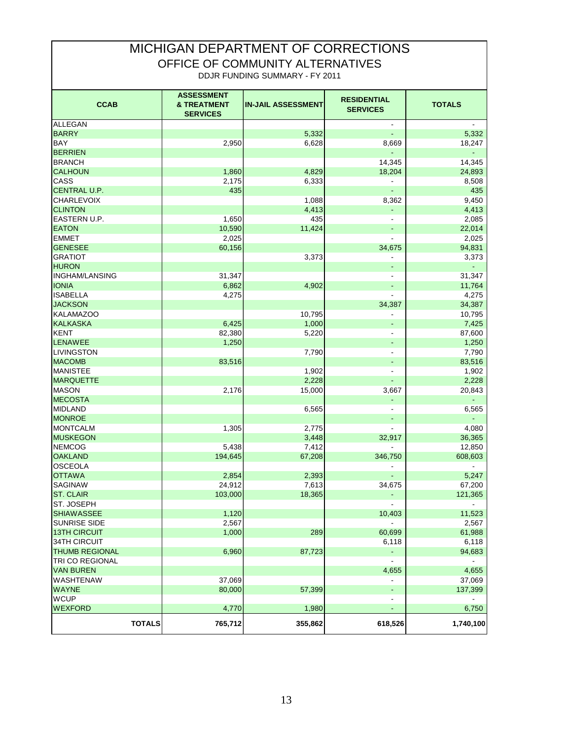# MICHIGAN DEPARTMENT OF CORRECTIONS OFFICE OF COMMUNITY ALTERNATIVES DDJR FUNDING SUMMARY - FY 2011

| <b>CCAB</b>           | <b>ASSESSMENT</b><br><b>&amp; TREATMENT</b><br><b>SERVICES</b> | <b>IN-JAIL ASSESSMENT</b> | <b>RESIDENTIAL</b><br><b>SERVICES</b> | <b>TOTALS</b> |
|-----------------------|----------------------------------------------------------------|---------------------------|---------------------------------------|---------------|
| <b>ALLEGAN</b>        |                                                                |                           | $\overline{\phantom{a}}$              |               |
| <b>BARRY</b>          |                                                                | 5,332                     | Ξ                                     | 5,332         |
| <b>BAY</b>            | 2,950                                                          | 6,628                     | 8,669                                 | 18,247        |
| <b>BERRIEN</b>        |                                                                |                           |                                       | ÷.            |
| <b>BRANCH</b>         |                                                                |                           | 14,345                                | 14,345        |
| <b>CALHOUN</b>        | 1,860                                                          | 4,829                     | 18,204                                | 24,893        |
| CASS                  | 2,175                                                          | 6,333                     |                                       | 8,508         |
| <b>CENTRAL U.P.</b>   | 435                                                            |                           |                                       | 435           |
| <b>CHARLEVOIX</b>     |                                                                | 1,088                     | 8,362                                 | 9,450         |
| <b>CLINTON</b>        |                                                                | 4,413                     | ä,                                    | 4,413         |
| EASTERN U.P.          | 1,650                                                          | 435                       | $\overline{\phantom{a}}$              | 2,085         |
| <b>EATON</b>          | 10,590                                                         | 11,424                    |                                       | 22,014        |
| <b>EMMET</b>          | 2,025                                                          |                           |                                       | 2,025         |
| <b>GENESEE</b>        | 60,156                                                         |                           | 34,675                                | 94,831        |
| <b>GRATIOT</b>        |                                                                | 3,373                     |                                       | 3,373         |
| <b>HURON</b>          |                                                                |                           |                                       | ÷.            |
| <b>INGHAM/LANSING</b> | 31,347                                                         |                           |                                       | 31,347        |
| <b>IONIA</b>          | 6,862                                                          | 4,902                     |                                       | 11,764        |
| <b>ISABELLA</b>       | 4,275                                                          |                           |                                       | 4,275         |
| <b>JACKSON</b>        |                                                                |                           | 34,387                                | 34,387        |
| <b>KALAMAZOO</b>      |                                                                | 10,795                    |                                       | 10,795        |
| <b>KALKASKA</b>       | 6,425                                                          | 1,000                     |                                       | 7,425         |
| <b>KENT</b>           | 82,380                                                         | 5,220                     |                                       | 87,600        |
| LENAWEE               | 1,250                                                          |                           | ٠                                     | 1,250         |
| <b>LIVINGSTON</b>     |                                                                | 7,790                     |                                       | 7,790         |
| <b>MACOMB</b>         | 83,516                                                         |                           |                                       | 83,516        |
| <b>MANISTEE</b>       |                                                                | 1,902                     |                                       | 1,902         |
| <b>MARQUETTE</b>      |                                                                | 2,228                     |                                       | 2,228         |
| <b>MASON</b>          | 2,176                                                          | 15,000                    | 3,667                                 | 20,843        |
| <b>MECOSTA</b>        |                                                                |                           |                                       |               |
| <b>MIDLAND</b>        |                                                                | 6,565                     |                                       | 6,565         |
| <b>MONROE</b>         |                                                                |                           |                                       |               |
| <b>MONTCALM</b>       | 1,305                                                          | 2,775                     |                                       | 4,080         |
| <b>MUSKEGON</b>       |                                                                | 3,448                     | 32,917                                | 36,365        |
| <b>NEMCOG</b>         | 5,438                                                          | 7,412                     |                                       | 12,850        |
| <b>OAKLAND</b>        | 194,645                                                        | 67,208                    | 346,750                               | 608,603       |
| OSCEOLA               |                                                                |                           |                                       |               |
| <b>OTTAWA</b>         | 2,854                                                          | 2,393                     | Ξ                                     | 5,247         |
| SAGINAW               | 24,912                                                         | 7,613                     | 34,675                                | 67,200        |
| <b>ST. CLAIR</b>      | 103,000                                                        | 18,365                    |                                       | 121,365       |
| ST. JOSEPH            |                                                                |                           |                                       |               |
| <b>SHIAWASSEE</b>     | 1,120                                                          |                           | 10,403                                | 11,523        |
| SUNRISE SIDE          | 2,567                                                          |                           |                                       | 2,567         |
| <b>13TH CIRCUIT</b>   | 1,000                                                          | 289                       | 60,699                                | 61,988        |
| 34TH CIRCUIT          |                                                                |                           | 6,118                                 | 6,118         |
| <b>THUMB REGIONAL</b> | 6,960                                                          | 87,723                    | ÷,                                    | 94,683        |
| TRI CO REGIONAL       |                                                                |                           | L,                                    |               |
| <b>VAN BUREN</b>      |                                                                |                           | 4,655                                 | 4,655         |
| <b>WASHTENAW</b>      | 37,069                                                         |                           |                                       | 37,069        |
| <b>WAYNE</b>          | 80,000                                                         | 57,399                    |                                       | 137,399       |
| <b>WCUP</b>           |                                                                |                           |                                       |               |
| <b>WEXFORD</b>        | 4,770                                                          | 1,980                     |                                       | 6,750         |
| <b>TOTALS</b>         | 765,712                                                        | 355,862                   | 618,526                               | 1,740,100     |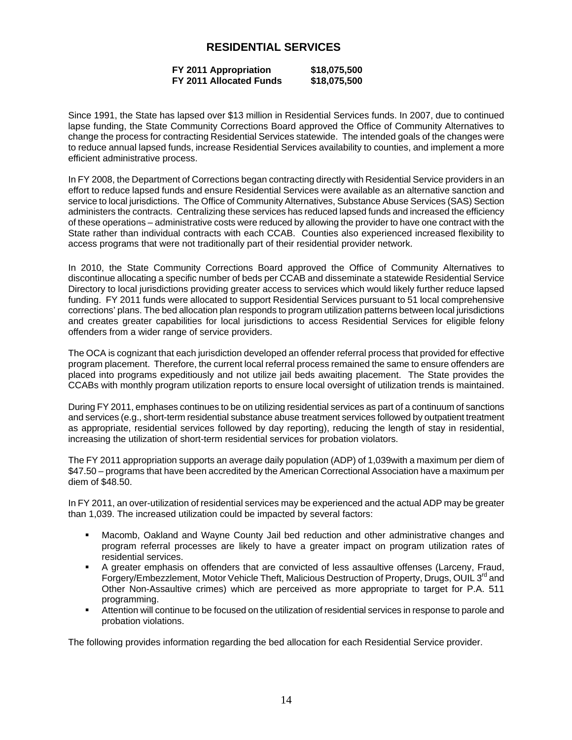### **RESIDENTIAL SERVICES**

### **FY 2011 Appropriation \$18,075,500 FY 2011 Allocated Funds \$18,075,500**

Since 1991, the State has lapsed over \$13 million in Residential Services funds. In 2007, due to continued lapse funding, the State Community Corrections Board approved the Office of Community Alternatives to change the process for contracting Residential Services statewide. The intended goals of the changes were to reduce annual lapsed funds, increase Residential Services availability to counties, and implement a more efficient administrative process.

In FY 2008, the Department of Corrections began contracting directly with Residential Service providers in an effort to reduce lapsed funds and ensure Residential Services were available as an alternative sanction and service to local jurisdictions. The Office of Community Alternatives, Substance Abuse Services (SAS) Section administers the contracts. Centralizing these services has reduced lapsed funds and increased the efficiency of these operations – administrative costs were reduced by allowing the provider to have one contract with the State rather than individual contracts with each CCAB. Counties also experienced increased flexibility to access programs that were not traditionally part of their residential provider network.

In 2010, the State Community Corrections Board approved the Office of Community Alternatives to discontinue allocating a specific number of beds per CCAB and disseminate a statewide Residential Service Directory to local jurisdictions providing greater access to services which would likely further reduce lapsed funding. FY 2011 funds were allocated to support Residential Services pursuant to 51 local comprehensive corrections' plans. The bed allocation plan responds to program utilization patterns between local jurisdictions and creates greater capabilities for local jurisdictions to access Residential Services for eligible felony offenders from a wider range of service providers.

The OCA is cognizant that each jurisdiction developed an offender referral process that provided for effective program placement. Therefore, the current local referral process remained the same to ensure offenders are placed into programs expeditiously and not utilize jail beds awaiting placement. The State provides the CCABs with monthly program utilization reports to ensure local oversight of utilization trends is maintained.

During FY 2011, emphases continues to be on utilizing residential services as part of a continuum of sanctions and services (e.g., short-term residential substance abuse treatment services followed by outpatient treatment as appropriate, residential services followed by day reporting), reducing the length of stay in residential, increasing the utilization of short-term residential services for probation violators.

The FY 2011 appropriation supports an average daily population (ADP) of 1,039with a maximum per diem of \$47.50 – programs that have been accredited by the American Correctional Association have a maximum per diem of \$48.50.

In FY 2011, an over-utilization of residential services may be experienced and the actual ADP may be greater than 1,039. The increased utilization could be impacted by several factors:

- Macomb, Oakland and Wayne County Jail bed reduction and other administrative changes and program referral processes are likely to have a greater impact on program utilization rates of residential services.
- A greater emphasis on offenders that are convicted of less assaultive offenses (Larceny, Fraud, Forgery/Embezzlement, Motor Vehicle Theft, Malicious Destruction of Property, Drugs, OUIL 3<sup>rd</sup> and Other Non-Assaultive crimes) which are perceived as more appropriate to target for P.A. 511 programming.
- Attention will continue to be focused on the utilization of residential services in response to parole and probation violations.

The following provides information regarding the bed allocation for each Residential Service provider.